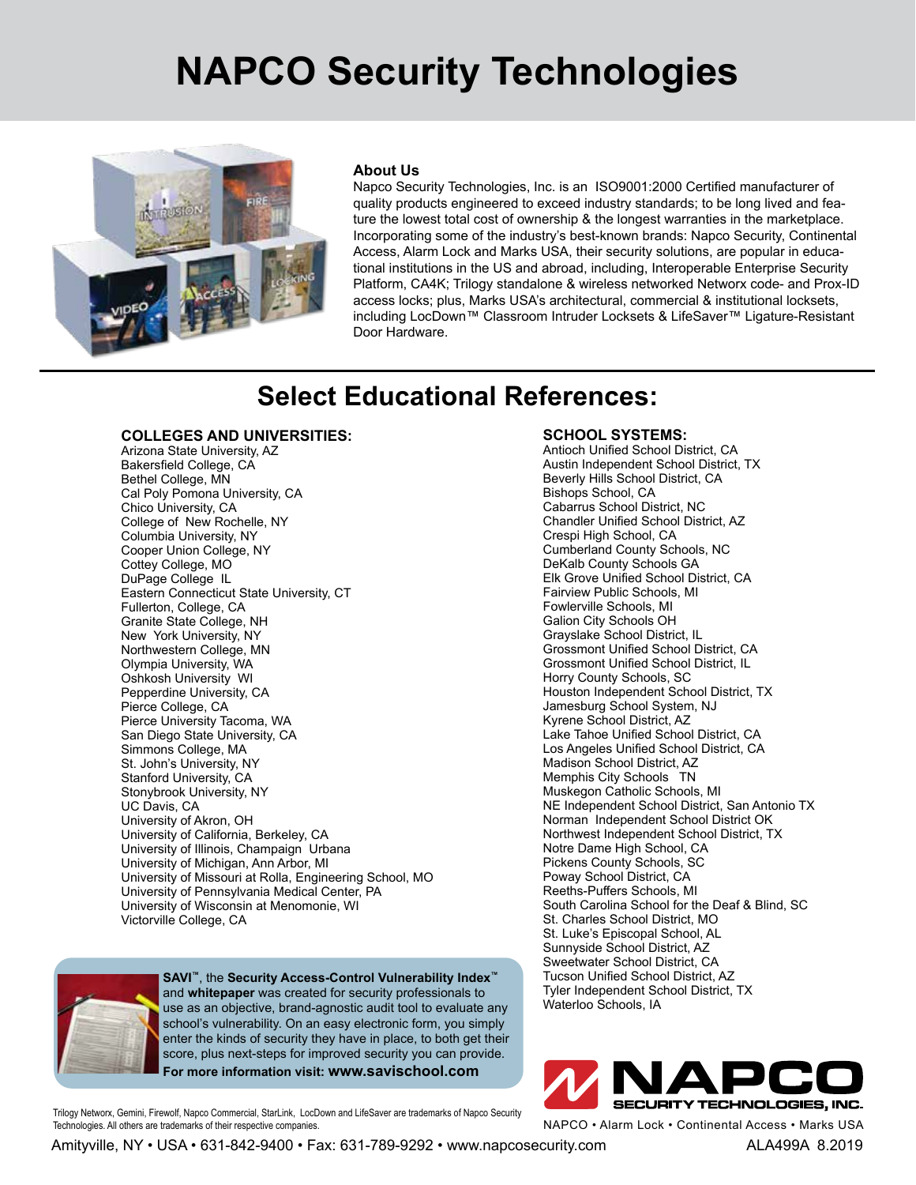## **NAPCO Security Technologies**



#### **About Us**

Napco Security Technologies, Inc. is an ISO9001:2000 Certified manufacturer of quality products engineered to exceed industry standards; to be long lived and feature the lowest total cost of ownership & the longest warranties in the marketplace. Incorporating some of the industry's best-known brands: Napco Security, Continental Access, Alarm Lock and Marks USA, their security solutions, are popular in educational institutions in the US and abroad, including, Interoperable Enterprise Security Platform, CA4K; Trilogy standalone & wireless networked Networx code- and Prox-ID access locks; plus, Marks USA's architectural, commercial & institutional locksets, including LocDown™ Classroom Intruder Locksets & LifeSaver™ Ligature-Resistant Door Hardware.

## **Select Educational References:**

#### **COLLEGES AND UNIVERSITIES:**

Arizona State University, AZ Bakersfield College, CA Bethel College, MN Cal Poly Pomona University, CA Chico University, CA College of New Rochelle, NY Columbia University, NY Cooper Union College, NY Cottey College, MO DuPage College IL Eastern Connecticut State University, CT Fullerton, College, CA Granite State College, NH New York University, NY Northwestern College, MN Olympia University, WA Oshkosh University WI Pepperdine University, CA Pierce College, CA Pierce University Tacoma, WA San Diego State University, CA Simmons College, MA St. John's University, NY Stanford University, CA Stonybrook University, NY UC Davis, CA University of Akron, OH University of California, Berkeley, CA University of Illinois, Champaign Urbana University of Michigan, Ann Arbor, MI University of Missouri at Rolla, Engineering School, MO University of Pennsylvania Medical Center, PA University of Wisconsin at Menomonie, WI Victorville College, CA



**SAVI™**, the **Security Access-Control Vulnerability Index™** and **whitepaper** was created for security professionals to use as an objective, brand-agnostic audit tool to evaluate any school's vulnerability. On an easy electronic form, you simply enter the kinds of security they have in place, to both get their score, plus next-steps for improved security you can provide. **For more information visit: www.savischool.com**

Trilogy Networx, Gemini, Firewolf, Napco Commercial, StarLink, LocDown and LifeSaver are trademarks of Napco Security Technologies. All others are trademarks of their respective companies.

**SCHOOL SYSTEMS:**

Antioch Unified School District, CA Austin Independent School District, TX Beverly Hills School District, CA Bishops School, CA Cabarrus School District, NC Chandler Unified School District, AZ Crespi High School, CA Cumberland County Schools, NC DeKalb County Schools GA Elk Grove Unified School District, CA Fairview Public Schools, MI Fowlerville Schools, MI Galion City Schools OH Grayslake School District, IL Grossmont Unified School District, CA Grossmont Unified School District, IL Horry County Schools, SC Houston Independent School District, TX Jamesburg School System, NJ Kyrene School District, AZ Lake Tahoe Unified School District, CA Los Angeles Unified School District, CA Madison School District, AZ Memphis City Schools TN Muskegon Catholic Schools, MI NE Independent School District, San Antonio TX Norman Independent School District OK Northwest Independent School District, TX Notre Dame High School, CA Pickens County Schools, SC Poway School District, CA Reeths-Puffers Schools, MI South Carolina School for the Deaf & Blind, SC St. Charles School District, MO St. Luke's Episcopal School, AL Sunnyside School District, AZ Sweetwater School District, CA Tucson Unified School District, AZ Tyler Independent School District, TX Waterloo Schools, IA



NAPCO • Alarm Lock • Continental Access • Marks USA

Amityville, NY • USA • 631-842-9400 • Fax: 631-789-9292 • www.napcosecurity.com ALA499A 8.2019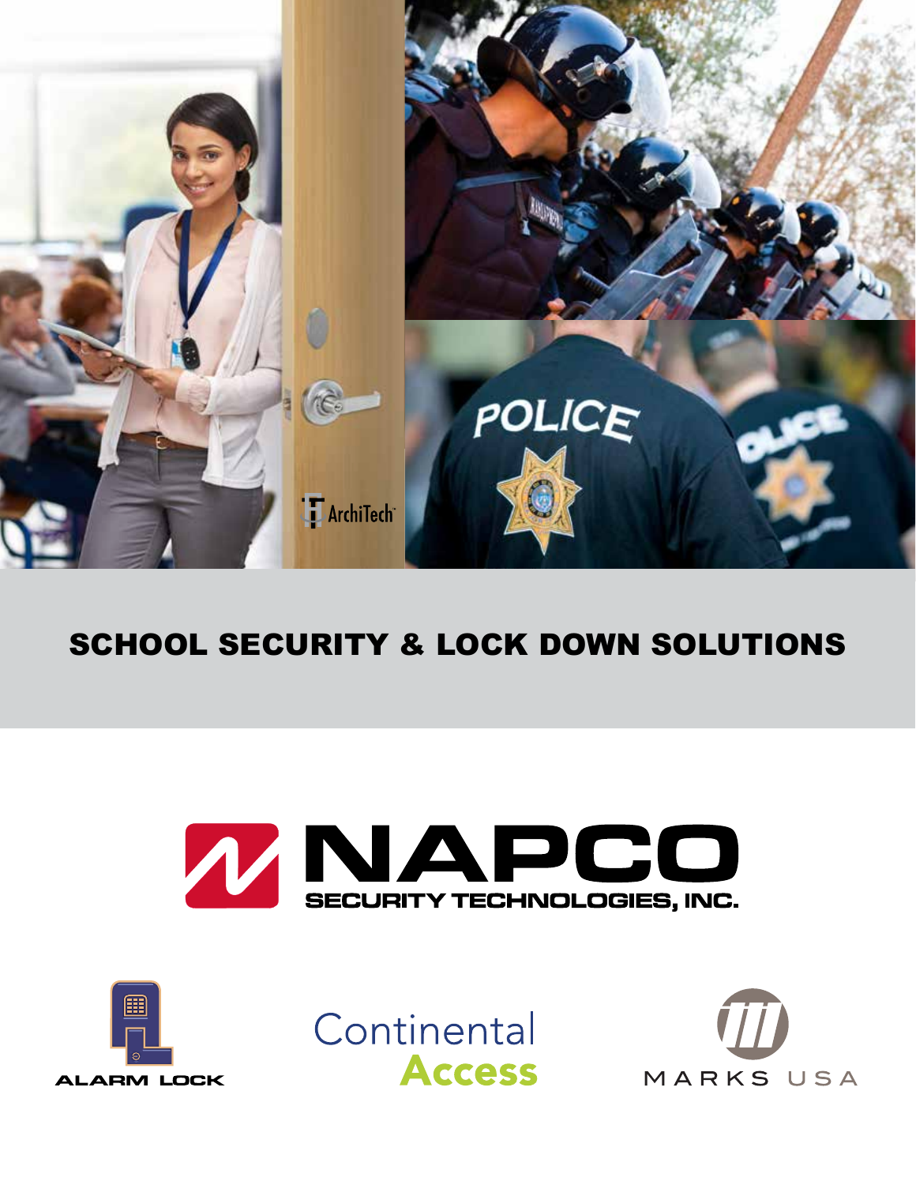

## SCHOOL SECURITY & LOCK DOWN SOLUTIONS







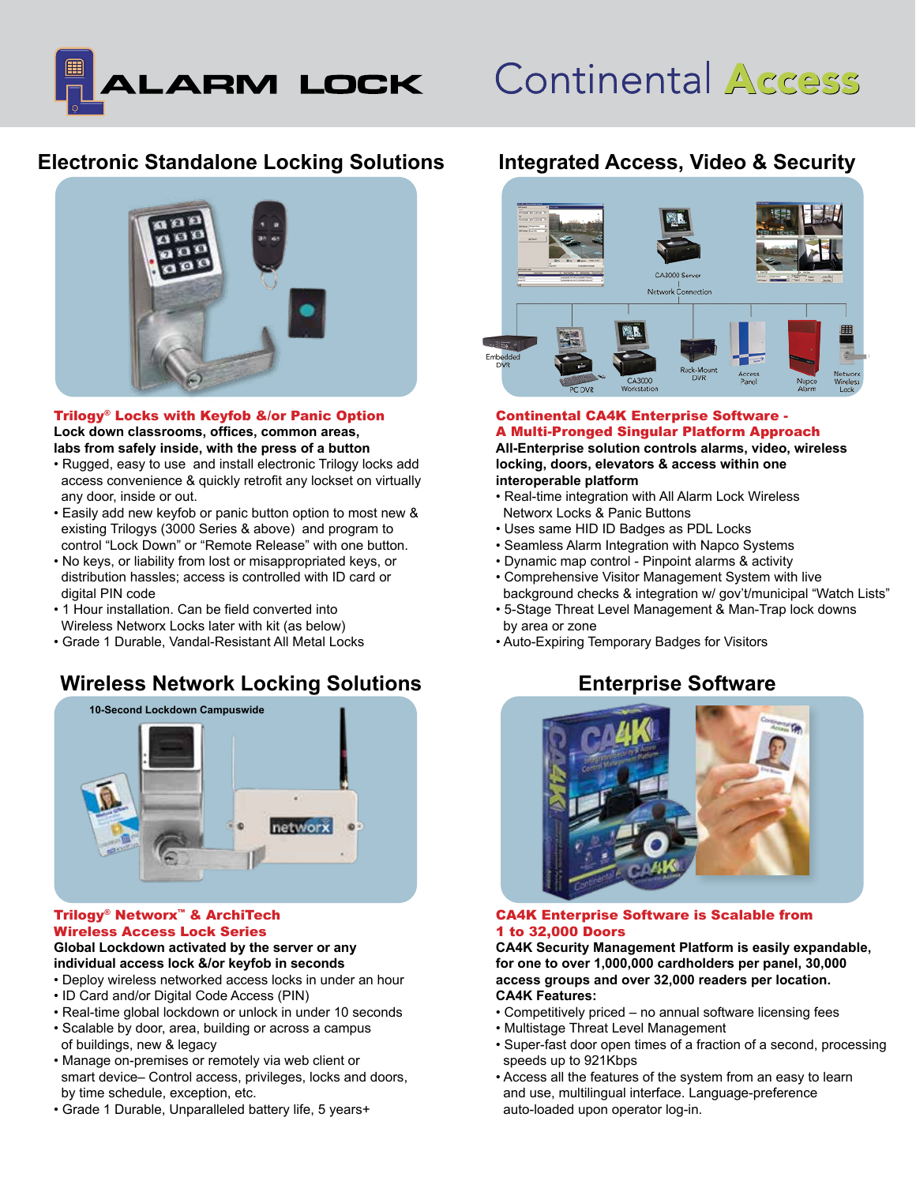

# **Continental Access**

## **Electronic Standalone Locking Solutions**



Trilogy® Locks with Keyfob &/or Panic Option **Lock down classrooms, offices, common areas, labs from safely inside, with the press of a button**

- Rugged, easy to use and install electronic Trilogy locks add access convenience & quickly retrofit any lockset on virtually any door, inside or out.
- Easily add new keyfob or panic button option to most new & existing Trilogys (3000 Series & above) and program to control "Lock Down" or "Remote Release" with one button.
- No keys, or liability from lost or misappropriated keys, or distribution hassles; access is controlled with ID card or digital PIN code
- 1 Hour installation. Can be field converted into Wireless Networx Locks later with kit (as below)
- Grade 1 Durable, Vandal-Resistant All Metal Locks

## **Wireless Network Locking Solutions**



#### Trilogy® Networx™ & ArchiTech Wireless Access Lock Series

#### **Global Lockdown activated by the server or any individual access lock &/or keyfob in seconds**

- Deploy wireless networked access locks in under an hour
- ID Card and/or Digital Code Access (PIN)
- Real-time global lockdown or unlock in under 10 seconds
- Scalable by door, area, building or across a campus of buildings, new & legacy
- Manage on-premises or remotely via web client or smart device– Control access, privileges, locks and doors, by time schedule, exception, etc.
- Grade 1 Durable, Unparalleled battery life, 5 years+

## **Integrated Access, Video & Security**



#### Continental CA4K Enterprise Software - A Multi-Pronged Singular Platform Approach **All-Enterprise solution controls alarms, video, wireless locking, doors, elevators & access within one interoperable platform**

- Real-time integration with All Alarm Lock Wireless Networx Locks & Panic Buttons
- Uses same HID ID Badges as PDL Locks
- Seamless Alarm Integration with Napco Systems
- Dynamic map control Pinpoint alarms & activity
- Comprehensive Visitor Management System with live background checks & integration w/ gov't/municipal "Watch Lists"
- 5-Stage Threat Level Management & Man-Trap lock downs by area or zone
- Auto-Expiring Temporary Badges for Visitors

## **Enterprise Software**



#### CA4K Enterprise Software is Scalable from 1 to 32,000 Doors

**CA4K Security Management Platform is easily expandable, for one to over 1,000,000 cardholders per panel, 30,000 access groups and over 32,000 readers per location. CA4K Features:**

- Competitively priced no annual software licensing fees
- Multistage Threat Level Management
- Super-fast door open times of a fraction of a second, processing speeds up to 921Kbps
- Access all the features of the system from an easy to learn and use, multilingual interface. Language-preference auto-loaded upon operator log-in.